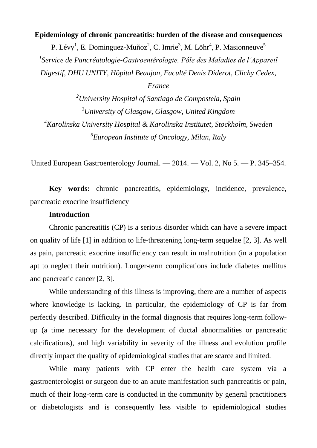**Epidemiology of chronic pancreatitis: burden of the disease and consequences** P. Lévy<sup>1</sup>, E. Dominguez-Muñoz<sup>2</sup>, C. Imrie<sup>3</sup>, M. Löhr<sup>4</sup>, P. Masionneuve<sup>5</sup> <sup>1</sup> Service de Pancréatologie-Gastroentérologie, Pôle des Maladies de l'Appareil *Digestif, DHU UNITY, Hôpital Beaujon, Faculté Denis Diderot, Clichy Cedex, France*

*University Hospital of Santiago de Compostela, Spain University of Glasgow, Glasgow, United Kingdom Karolinska University Hospital & Karolinska Institutet, Stockholm, Sweden European Institute of Oncology, Milan, Italy*

United European Gastroenterology Journal. — 2014. — Vol. 2, No 5. — P. 345–354.

**Key words:** chronic pancreatitis, epidemiology, incidence, prevalence, pancreatic exocrine insufficiency

# **Introduction**

Chronic pancreatitis (CP) is a serious disorder which can have a severe impact on quality of life [1] in addition to life-threatening long-term sequelae [2, 3]. As well as pain, pancreatic exocrine insufficiency can result in malnutrition (in a population apt to neglect their nutrition). Longer-term complications include diabetes mellitus and pancreatic cancer [2, 3].

While understanding of this illness is improving, there are a number of aspects where knowledge is lacking. In particular, the epidemiology of CP is far from perfectly described. Difficulty in the formal diagnosis that requires long-term followup (a time necessary for the development of ductal abnormalities or pancreatic calcifications), and high variability in severity of the illness and evolution profile directly impact the quality of epidemiological studies that are scarce and limited.

While many patients with CP enter the health care system via a gastroenterologist or surgeon due to an acute manifestation such pancreatitis or pain, much of their long-term care is conducted in the community by general practitioners or diabetologists and is consequently less visible to epidemiological studies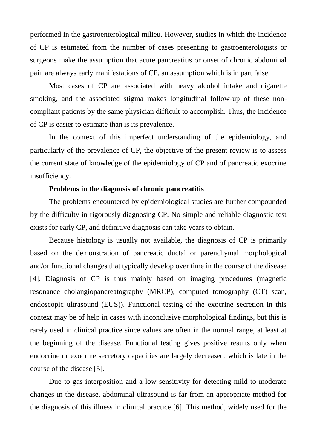performed in the gastroenterological milieu. However, studies in which the incidence of CP is estimated from the number of cases presenting to gastroenterologists or surgeons make the assumption that acute pancreatitis or onset of chronic abdominal pain are always early manifestations of CP, an assumption which is in part false.

Most cases of CP are associated with heavy alcohol intake and cigarette smoking, and the associated stigma makes longitudinal follow-up of these noncompliant patients by the same physician difficult to accomplish. Thus, the incidence of CP is easier to estimate than is its prevalence.

In the context of this imperfect understanding of the epidemiology, and particularly of the prevalence of CP, the objective of the present review is to assess the current state of knowledge of the epidemiology of CP and of pancreatic exocrine insufficiency.

#### **Problems in the diagnosis of chronic pancreatitis**

The problems encountered by epidemiological studies are further compounded by the difficulty in rigorously diagnosing CP. No simple and reliable diagnostic test exists for early CP, and definitive diagnosis can take years to obtain.

Because histology is usually not available, the diagnosis of CP is primarily based on the demonstration of pancreatic ductal or parenchymal morphological and/or functional changes that typically develop over time in the course of the disease [4]. Diagnosis of CP is thus mainly based on imaging procedures (magnetic resonance cholangiopancreatography (MRCP), computed tomography (CT) scan, endoscopic ultrasound (EUS)). Functional testing of the exocrine secretion in this context may be of help in cases with inconclusive morphological findings, but this is rarely used in clinical practice since values are often in the normal range, at least at the beginning of the disease. Functional testing gives positive results only when endocrine or exocrine secretory capacities are largely decreased, which is late in the course of the disease [5].

Due to gas interposition and a low sensitivity for detecting mild to moderate changes in the disease, abdominal ultrasound is far from an appropriate method for the diagnosis of this illness in clinical practice [6]. This method, widely used for the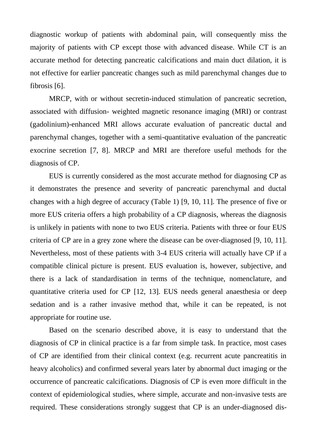diagnostic workup of patients with abdominal pain, will consequently miss the majority of patients with CP except those with advanced disease. While CT is an accurate method for detecting pancreatic calcifications and main duct dilation, it is not effective for earlier pancreatic changes such as mild parenchymal changes due to fibrosis [6].

MRCP, with or without secretin-induced stimulation of pancreatic secretion, associated with diffusion- weighted magnetic resonance imaging (MRI) or contrast (gadolinium)-enhanced MRI allows accurate evaluation of pancreatic ductal and parenchymal changes, together with a semi-quantitative evaluation of the pancreatic exocrine secretion [7, 8]. MRCP and MRI are therefore useful methods for the diagnosis of CP.

EUS is currently considered as the most accurate method for diagnosing CP as it demonstrates the presence and severity of pancreatic parenchymal and ductal changes with a high degree of accuracy (Table 1) [9, 10, 11]. The presence of five or more EUS criteria offers a high probability of a CP diagnosis, whereas the diagnosis is unlikely in patients with none to two EUS criteria. Patients with three or four EUS criteria of CP are in a grey zone where the disease can be over-diagnosed [9, 10, 11]. Nevertheless, most of these patients with 3-4 EUS criteria will actually have CP if a compatible clinical picture is present. EUS evaluation is, however, subjective, and there is a lack of standardisation in terms of the technique, nomenclature, and quantitative criteria used for CP [12, 13]. EUS needs general anaesthesia or deep sedation and is a rather invasive method that, while it can be repeated, is not appropriate for routine use.

Based on the scenario described above, it is easy to understand that the diagnosis of CP in clinical practice is a far from simple task. In practice, most cases of CP are identified from their clinical context (e.g. recurrent acute pancreatitis in heavy alcoholics) and confirmed several years later by abnormal duct imaging or the occurrence of pancreatic calcifications. Diagnosis of CP is even more difficult in the context of epidemiological studies, where simple, accurate and non-invasive tests are required. These considerations strongly suggest that CP is an under-diagnosed dis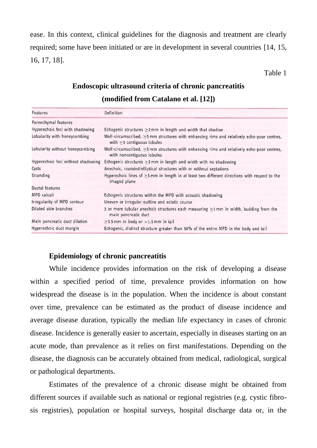ease. In this context, clinical guidelines for the diagnosis and treatment are clearly required; some have been initiated or are in development in several countries [14, 15, 16, 17, 18].

Table 1

# **Endoscopic ultrasound criteria of chronic pancreatitis (modified from Catalano et al. [12])**

| Features                           | Definition                                                                                                                           |  |  |  |
|------------------------------------|--------------------------------------------------------------------------------------------------------------------------------------|--|--|--|
| Parenchymal features               |                                                                                                                                      |  |  |  |
| Hyperechoic foci with shadowing    | Echogenic structures $\geq$ 2 mm in length and width that shadow                                                                     |  |  |  |
| Lobularity with honeycombing       | Well-circumscribed, $\geq$ 5 mm structures with enhancing rims and relatively echo-poor centres,<br>with $\geq$ 3 contiguous lobules |  |  |  |
| Lobularity without honeycombing    | Well-circumscribed, $\geq$ 5 mm structures with enhancing rims and relatively echo-poor centres,<br>with noncontiguous lobules       |  |  |  |
| Hyperechoic foci without shadowing | Echogenic structures $\geq$ 2 mm in length and width with no shadowing                                                               |  |  |  |
| Cysts                              | Anechoic, rounded/elliptical structures with or without septations                                                                   |  |  |  |
| Stranding                          | Hyperechoic lines of $\geq$ 3 mm in length in at least two different directions with respect to the<br>imaged plane                  |  |  |  |
| Ductal features                    |                                                                                                                                      |  |  |  |
| MPD calculi                        | Echogenic structures within the MPD with acoustic shadowing                                                                          |  |  |  |
| Irregularity of MPD contour        | Uneven or irregular outline and ectatic course                                                                                       |  |  |  |
| Dilated side branches              | 3 or more tubular anechoic structures each measuring $\geq$ 1 mm in width, budding from the<br>main pancreatic duct                  |  |  |  |
| Main pancreatic duct dilation      | $\geq$ 3.5 mm in body or $>$ 1.5 mm in tail                                                                                          |  |  |  |
| Hyperechoic duct margin            | Echogenic, distinct structure greater than 50% of the entire MPD in the body and tail                                                |  |  |  |

# **Epidemiology of chronic pancreatitis**

While incidence provides information on the risk of developing a disease within a specified period of time, prevalence provides information on how widespread the disease is in the population. When the incidence is about constant over time, prevalence can be estimated as the product of disease incidence and average disease duration, typically the median life expectancy in cases of chronic disease. Incidence is generally easier to ascertain, especially in diseases starting on an acute mode, than prevalence as it relies on first manifestations. Depending on the disease, the diagnosis can be accurately obtained from medical, radiological, surgical or pathological departments.

Estimates of the prevalence of a chronic disease might be obtained from different sources if available such as national or regional registries (e.g. cystic fibrosis registries), population or hospital surveys, hospital discharge data or, in the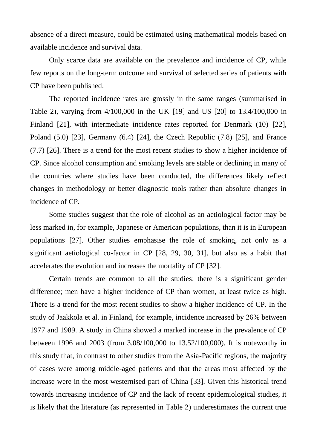absence of a direct measure, could be estimated using mathematical models based on available incidence and survival data.

Only scarce data are available on the prevalence and incidence of CP, while few reports on the long-term outcome and survival of selected series of patients with CP have been published.

The reported incidence rates are grossly in the same ranges (summarised in Table 2), varying from 4/100,000 in the UK [19] and US [20] to 13.4/100,000 in Finland [21], with intermediate incidence rates reported for Denmark (10) [22], Poland (5.0) [23], Germany (6.4) [24], the Czech Republic (7.8) [25], and France (7.7) [26]. There is a trend for the most recent studies to show a higher incidence of CP. Since alcohol consumption and smoking levels are stable or declining in many of the countries where studies have been conducted, the differences likely reflect changes in methodology or better diagnostic tools rather than absolute changes in incidence of CP.

Some studies suggest that the role of alcohol as an aetiological factor may be less marked in, for example, Japanese or American populations, than it is in European populations [27]. Other studies emphasise the role of smoking, not only as a significant aetiological co-factor in CP [28, 29, 30, 31], but also as a habit that accelerates the evolution and increases the mortality of CP [32].

Certain trends are common to all the studies: there is a significant gender difference; men have a higher incidence of CP than women, at least twice as high. There is a trend for the most recent studies to show a higher incidence of CP. In the study of Jaakkola et al. in Finland, for example, incidence increased by 26% between 1977 and 1989. A study in China showed a marked increase in the prevalence of CP between 1996 and 2003 (from 3.08/100,000 to 13.52/100,000). It is noteworthy in this study that, in contrast to other studies from the Asia-Pacific regions, the majority of cases were among middle-aged patients and that the areas most affected by the increase were in the most westernised part of China [33]. Given this historical trend towards increasing incidence of CP and the lack of recent epidemiological studies, it is likely that the literature (as represented in Table 2) underestimates the current true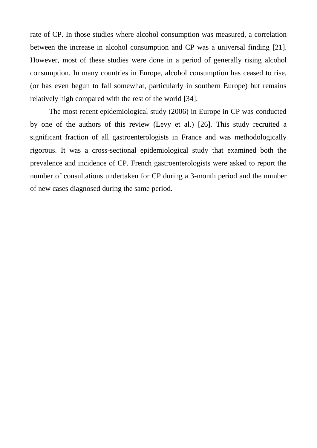rate of CP. In those studies where alcohol consumption was measured, a correlation between the increase in alcohol consumption and CP was a universal finding [21]. However, most of these studies were done in a period of generally rising alcohol consumption. In many countries in Europe, alcohol consumption has ceased to rise, (or has even begun to fall somewhat, particularly in southern Europe) but remains relatively high compared with the rest of the world [34].

The most recent epidemiological study (2006) in Europe in CP was conducted by one of the authors of this review (Levy et al.) [26]. This study recruited a significant fraction of all gastroenterologists in France and was methodologically rigorous. It was a cross-sectional epidemiological study that examined both the prevalence and incidence of CP. French gastroenterologists were asked to report the number of consultations undertaken for CP during a 3-month period and the number of new cases diagnosed during the same period.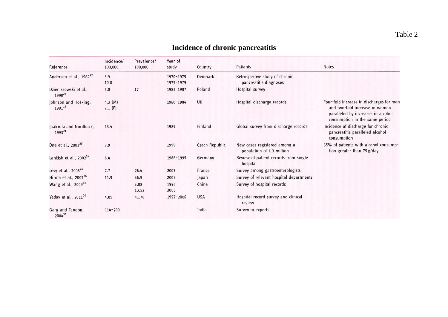# **Incidence of chronic pancreatitis**

|                                              | Incidence/           | Prevalence/   | Year of                |                |                                                           |                                                                                                                                                    |  |
|----------------------------------------------|----------------------|---------------|------------------------|----------------|-----------------------------------------------------------|----------------------------------------------------------------------------------------------------------------------------------------------------|--|
| Reference                                    | 100,000              | 100,000       | study                  | Country        | Patients                                                  | Notes                                                                                                                                              |  |
| Andersen et al., 1982 <sup>22</sup>          | 6.9<br>10.0          |               | 1970-1975<br>1975-1979 | Denmark        | Retrospective study of chronic<br>pancreatitis diagnoses  |                                                                                                                                                    |  |
| Dzieniszewski et al.,<br>1990 <sup>23</sup>  | 5.0                  | 17            | 1982-1987              | Poland         | Hospital survey                                           |                                                                                                                                                    |  |
| Johnson and Hosking,<br>1991 <sup>19</sup>   | $4.3$ (M)<br>2.1 (F) |               | 1960-1984              | UK             | Hospital discharge records                                | Four-fold increase in discharges for men<br>and two-fold increase in women<br>paralleled by increases in alcohol<br>consumption in the same period |  |
| Jaakkola and Nordback,<br>1993 <sup>21</sup> | 13.4                 |               | 1989                   | Finland        | Global survey from discharge records                      | Incidence of discharge for chronic<br>pancreatitis paralleled alcohol<br>consumption                                                               |  |
| Dite et al., 2001 <sup>25</sup>              | 7.9                  |               | 1999                   | Czech Republic | New cases registered among a<br>population of 1.3 million | 65% of patients with alcohol consump-<br>tion greater than 75 g/day                                                                                |  |
| Lankish et al., $2002^{24}$                  | 6.4                  |               | 1988-1995              | Germany        | Review of patient records from single<br>hospital         |                                                                                                                                                    |  |
| Lévy et al., 2006 <sup>26</sup>              | 7.7                  | 26.4          | 2003                   | France         | Survey among gastroenterologists                          |                                                                                                                                                    |  |
| Hirota et al., 2007 <sup>36</sup>            | 11.9                 | 36.9          | 2007                   | apan           | Survey of relevant hospital departments                   |                                                                                                                                                    |  |
| Wang et al., 2009 <sup>33</sup>              |                      | 3.08<br>13.52 | 1996<br>2003           | China          | Survey of hospital records                                |                                                                                                                                                    |  |
| Yadav et al., 2011 <sup>20</sup>             | 4.05                 | 41.76         | 1997-2006              | <b>USA</b>     | Hospital record survey and clinical<br>review             |                                                                                                                                                    |  |
| Garg and Tandon,<br>200454                   | $114 - 200$          |               |                        | India          | Survey in experts                                         |                                                                                                                                                    |  |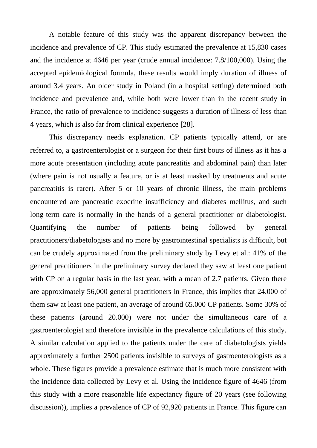A notable feature of this study was the apparent discrepancy between the incidence and prevalence of CP. This study estimated the prevalence at 15,830 cases and the incidence at 4646 per year (crude annual incidence: 7.8/100,000). Using the accepted epidemiological formula, these results would imply duration of illness of around 3.4 years. An older study in Poland (in a hospital setting) determined both incidence and prevalence and, while both were lower than in the recent study in France, the ratio of prevalence to incidence suggests a duration of illness of less than 4 years, which is also far from clinical experience [28].

This discrepancy needs explanation. CP patients typically attend, or are referred to, a gastroenterologist or a surgeon for their first bouts of illness as it has a more acute presentation (including acute pancreatitis and abdominal pain) than later (where pain is not usually a feature, or is at least masked by treatments and acute pancreatitis is rarer). After 5 or 10 years of chronic illness, the main problems encountered are pancreatic exocrine insufficiency and diabetes mellitus, and such long-term care is normally in the hands of a general practitioner or diabetologist. Quantifying the number of patients being followed by general practitioners/diabetologists and no more by gastrointestinal specialists is difficult, but can be crudely approximated from the preliminary study by Levy et al.: 41% of the general practitioners in the preliminary survey declared they saw at least one patient with CP on a regular basis in the last year, with a mean of 2.7 patients. Given there are approximately 56,000 general practitioners in France, this implies that 24.000 of them saw at least one patient, an average of around 65.000 CP patients. Some 30% of these patients (around 20.000) were not under the simultaneous care of a gastroenterologist and therefore invisible in the prevalence calculations of this study. A similar calculation applied to the patients under the care of diabetologists yields approximately a further 2500 patients invisible to surveys of gastroenterologists as a whole. These figures provide a prevalence estimate that is much more consistent with the incidence data collected by Levy et al. Using the incidence figure of 4646 (from this study with a more reasonable life expectancy figure of 20 years (see following discussion)), implies a prevalence of CP of 92,920 patients in France. This figure can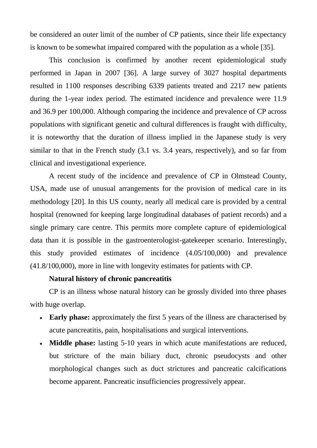be considered an outer limit of the number of CP patients, since their life expectancy is known to be somewhat impaired compared with the population as a whole [35].

This conclusion is confirmed by another recent epidemiological study performed in Japan in 2007 [36]. A large survey of 3027 hospital departments resulted in 1100 responses describing 6339 patients treated and 2217 new patients during the 1-year index period. The estimated incidence and prevalence were 11.9 and 36.9 per 100,000. Although comparing the incidence and prevalence of CP across populations with significant genetic and cultural differences is fraught with difficulty, it is noteworthy that the duration of illness implied in the Japanese study is very similar to that in the French study (3.1 vs. 3.4 years, respectively), and so far from clinical and investigational experience.

A recent study of the incidence and prevalence of CP in Olmstead County, USA, made use of unusual arrangements for the provision of medical care in its methodology [20]. In this US county, nearly all medical care is provided by a central hospital (renowned for keeping large longitudinal databases of patient records) and a single primary care centre. This permits more complete capture of epidemiological data than it is possible in the gastroenterologist-gatekeeper scenario. Interestingly, this study provided estimates of incidence (4.05/100,000) and prevalence (41.8/100,000), more in line with longevity estimates for patients with CP.

## **Natural history of chronic pancreatitis**

CP is an illness whose natural history can be grossly divided into three phases with huge overlap.

- **Early phase:** approximately the first 5 years of the illness are characterised by acute pancreatitis, pain, hospitalisations and surgical interventions.
- **Middle phase:** lasting 5-10 years in which acute manifestations are reduced, but stricture of the main biliary duct, chronic pseudocysts and other morphological changes such as duct strictures and pancreatic calcifications become apparent. Pancreatic insufficiencies progressively appear.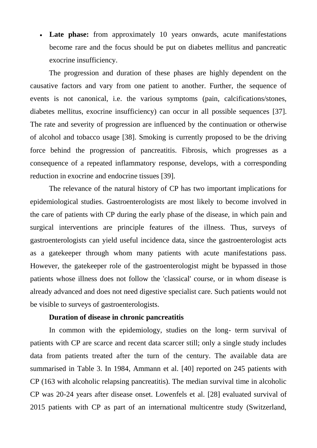**Late phase:** from approximately 10 years onwards, acute manifestations become rare and the focus should be put on diabetes mellitus and pancreatic exocrine insufficiency.

The progression and duration of these phases are highly dependent on the causative factors and vary from one patient to another. Further, the sequence of events is not canonical, i.e. the various symptoms (pain, calcifications/stones, diabetes mellitus, exocrine insufficiency) can occur in all possible sequences [37]. The rate and severity of progression are influenced by the continuation or otherwise of alcohol and tobacco usage [38]. Smoking is currently proposed to be the driving force behind the progression of pancreatitis. Fibrosis, which progresses as a consequence of a repeated inflammatory response, develops, with a corresponding reduction in exocrine and endocrine tissues [39].

The relevance of the natural history of CP has two important implications for epidemiological studies. Gastroenterologists are most likely to become involved in the care of patients with CP during the early phase of the disease, in which pain and surgical interventions are principle features of the illness. Thus, surveys of gastroenterologists can yield useful incidence data, since the gastroenterologist acts as a gatekeeper through whom many patients with acute manifestations pass. However, the gatekeeper role of the gastroenterologist might be bypassed in those patients whose illness does not follow the 'classical' course, or in whom disease is already advanced and does not need digestive specialist care. Such patients would not be visible to surveys of gastroenterologists.

## **Duration of disease in chronic pancreatitis**

In common with the epidemiology, studies on the long- term survival of patients with CP are scarce and recent data scarcer still; only a single study includes data from patients treated after the turn of the century. The available data are summarised in Table 3. In 1984, Ammann et al. [40] reported on 245 patients with CP (163 with alcoholic relapsing pancreatitis). The median survival time in alcoholic CP was 20-24 years after disease onset. Lowenfels et al. [28] evaluated survival of 2015 patients with CP as part of an international multicentre study (Switzerland,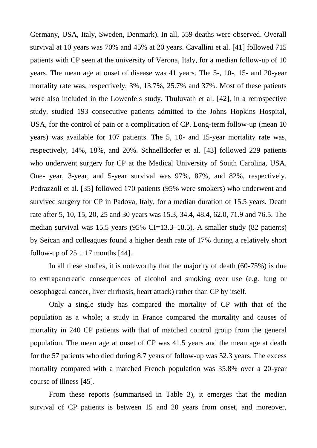Germany, USA, Italy, Sweden, Denmark). In all, 559 deaths were observed. Overall survival at 10 years was 70% and 45% at 20 years. Cavallini et al. [41] followed 715 patients with CP seen at the university of Verona, Italy, for a median follow-up of 10 years. The mean age at onset of disease was 41 years. The 5-, 10-, 15- and 20-year mortality rate was, respectively, 3%, 13.7%, 25.7% and 37%. Most of these patients were also included in the Lowenfels study. Thuluvath et al. [42], in a retrospective study, studied 193 consecutive patients admitted to the Johns Hopkins Hospital, USA, for the control of pain or a complication of CP. Long-term follow-up (mean 10 years) was available for 107 patients. The 5, 10- and 15-year mortality rate was, respectively, 14%, 18%, and 20%. Schnelldorfer et al. [43] followed 229 patients who underwent surgery for CP at the Medical University of South Carolina, USA. One- year, 3-year, and 5-year survival was 97%, 87%, and 82%, respectively. Pedrazzoli et al. [35] followed 170 patients (95% were smokers) who underwent and survived surgery for CP in Padova, Italy, for a median duration of 15.5 years. Death rate after 5, 10, 15, 20, 25 and 30 years was 15.3, 34.4, 48.4, 62.0, 71.9 and 76.5. The median survival was 15.5 years (95% CI=13.3–18.5). A smaller study (82 patients) by Seican and colleagues found a higher death rate of 17% during a relatively short follow-up of  $25 \pm 17$  months [44].

In all these studies, it is noteworthy that the majority of death (60-75%) is due to extrapancreatic consequences of alcohol and smoking over use (e.g. lung or oesophageal cancer, liver cirrhosis, heart attack) rather than CP by itself.

Only a single study has compared the mortality of CP with that of the population as a whole; a study in France compared the mortality and causes of mortality in 240 CP patients with that of matched control group from the general population. The mean age at onset of CP was 41.5 years and the mean age at death for the 57 patients who died during 8.7 years of follow-up was 52.3 years. The excess mortality compared with a matched French population was 35.8% over a 20-year course of illness [45].

From these reports (summarised in Table 3), it emerges that the median survival of CP patients is between 15 and 20 years from onset, and moreover,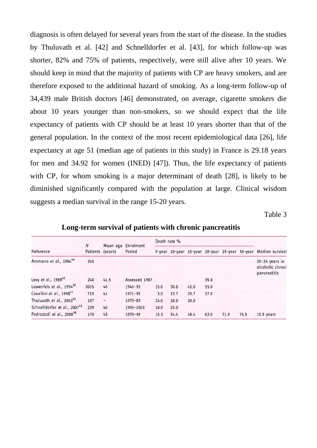diagnosis is often delayed for several years from the start of the disease. In the studies by Thuluvath et al. [42] and Schnelldorfer et al. [43], for which follow-up was shorter, 82% and 75% of patients, respectively, were still alive after 10 years. We should keep in mind that the majority of patients with CP are heavy smokers, and are therefore exposed to the additional hazard of smoking. As a long-term follow-up of 34,439 male British doctors [46] demonstrated, on average, cigarette smokers die about 10 years younger than non-smokers, so we should expect that the life expectancy of patients with CP should be at least 10 years shorter than that of the general population. In the context of the most recent epidemiological data [26], life expectancy at age 51 (median age of patients in this study) in France is 29.18 years for men and 34.92 for women (INED) [47]). Thus, the life expectancy of patients with CP, for whom smoking is a major determinant of death [28], is likely to be diminished significantly compared with the population at large. Clinical wisdom suggests a median survival in the range 15-20 years.

Table 3

| Reference                                | N    | Patients (years)         | Mean age Enrolment<br>Period | Death rate % |      |      |      |      |      |                                                                |
|------------------------------------------|------|--------------------------|------------------------------|--------------|------|------|------|------|------|----------------------------------------------------------------|
|                                          |      |                          |                              |              |      |      |      |      |      | 5-year 10-year 15-year 20-year 25-year 30-year Median survival |
| Ammann et al., 198440                    | 245  |                          |                              |              |      |      |      |      |      | $20 - 24$ years in<br>alcoholic chroni<br>pancreatitis         |
| Levy et al., 1989 <sup>45</sup>          | 240  | 41.5                     | Assessed 1987                |              |      |      | 35.8 |      |      |                                                                |
| Lowenfels et al., 1994 <sup>28</sup>     | 2015 | 46                       | $1946 - 92$                  | 15.0         | 30.0 | 45.0 | 55.0 |      |      |                                                                |
| Cavallini et al., 1998 <sup>41</sup>     | 715  | 41                       | $1971 - 95$                  | 3.0          | 13.7 | 25.7 | 37.0 |      |      |                                                                |
| Thuluvath et al., 2003 <sup>42</sup>     | 107  | $\overline{\phantom{a}}$ | $1979 - 89$                  | 14.0         | 18.0 | 20.0 |      |      |      |                                                                |
| Schnelldorfer et al., 2007 <sup>43</sup> | 229  | 46                       | 1995-2003                    | 18.0         | 25.0 |      |      |      |      |                                                                |
| Pedrazzoli et al., 2008 <sup>35</sup>    | 170  | 45                       | $1970 - 99$                  | 15.3         | 34.4 | 48.4 | 62.0 | 71.9 | 76.5 | 15.5 years                                                     |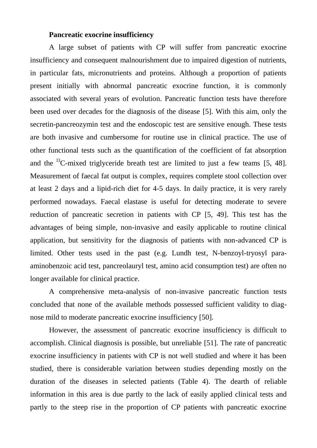### **Pancreatic exocrine insufficiency**

A large subset of patients with CP will suffer from pancreatic exocrine insufficiency and consequent malnourishment due to impaired digestion of nutrients, in particular fats, micronutrients and proteins. Although a proportion of patients present initially with abnormal pancreatic exocrine function, it is commonly associated with several years of evolution. Pancreatic function tests have therefore been used over decades for the diagnosis of the disease [5]. With this aim, only the secretin-pancreozymin test and the endoscopic test are sensitive enough. These tests are both invasive and cumbersome for routine use in clinical practice. The use of other functional tests such as the quantification of the coefficient of fat absorption and the  ${}^{13}$ C-mixed triglyceride breath test are limited to just a few teams [5, 48]. Measurement of faecal fat output is complex, requires complete stool collection over at least 2 days and a lipid-rich diet for 4-5 days. In daily practice, it is very rarely performed nowadays. Faecal elastase is useful for detecting moderate to severe reduction of pancreatic secretion in patients with CP [5, 49]. This test has the advantages of being simple, non-invasive and easily applicable to routine clinical application, but sensitivity for the diagnosis of patients with non-advanced CP is limited. Other tests used in the past (e.g. Lundh test, N-benzoyl-tryosyl paraaminobenzoic acid test, pancreolauryl test, amino acid consumption test) are often no longer available for clinical practice.

A comprehensive meta-analysis of non-invasive pancreatic function tests concluded that none of the available methods possessed sufficient validity to diagnose mild to moderate pancreatic exocrine insufficiency [50].

However, the assessment of pancreatic exocrine insufficiency is difficult to accomplish. Clinical diagnosis is possible, but unreliable [51]. The rate of pancreatic exocrine insufficiency in patients with CP is not well studied and where it has been studied, there is considerable variation between studies depending mostly on the duration of the diseases in selected patients (Table 4). The dearth of reliable information in this area is due partly to the lack of easily applied clinical tests and partly to the steep rise in the proportion of CP patients with pancreatic exocrine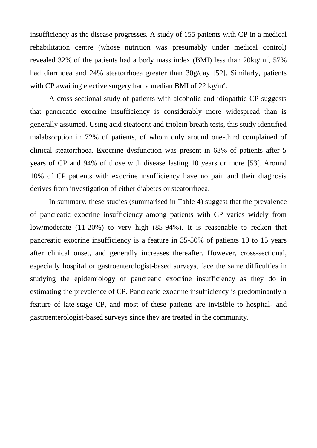insufficiency as the disease progresses. A study of 155 patients with CP in a medical rehabilitation centre (whose nutrition was presumably under medical control) revealed 32% of the patients had a body mass index (BMI) less than  $20 \text{kg/m}^2$ , 57% had diarrhoea and 24% steatorrhoea greater than 30g/day [52]. Similarly, patients with CP awaiting elective surgery had a median BMI of 22 kg/m<sup>2</sup>.

A cross-sectional study of patients with alcoholic and idiopathic CP suggests that pancreatic exocrine insufficiency is considerably more widespread than is generally assumed. Using acid steatocrit and triolein breath tests, this study identified malabsorption in 72% of patients, of whom only around one-third complained of clinical steatorrhoea. Exocrine dysfunction was present in 63% of patients after 5 years of CP and 94% of those with disease lasting 10 years or more [53]. Around 10% of CP patients with exocrine insufficiency have no pain and their diagnosis derives from investigation of either diabetes or steatorrhoea.

In summary, these studies (summarised in Table 4) suggest that the prevalence of pancreatic exocrine insufficiency among patients with CP varies widely from low/moderate (11-20%) to very high (85-94%). It is reasonable to reckon that pancreatic exocrine insufficiency is a feature in 35-50% of patients 10 to 15 years after clinical onset, and generally increases thereafter. However, cross-sectional, especially hospital or gastroenterologist-based surveys, face the same difficulties in studying the epidemiology of pancreatic exocrine insufficiency as they do in estimating the prevalence of CP. Pancreatic exocrine insufficiency is predominantly a feature of late-stage CP, and most of these patients are invisible to hospital- and gastroenterologist-based surveys since they are treated in the community.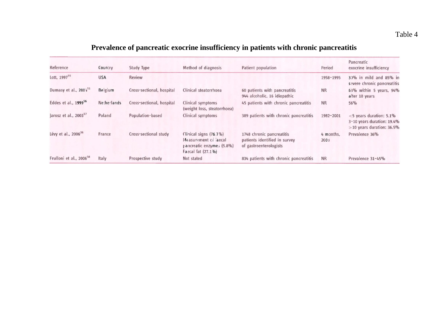# Table 4

# **Prevalence of pancreatic exocrine insufficiency in patients with chronic pancreatitis**

| Reference                           | Country     | <b>Study Type</b>         | Method of diagnosis                                                                                  | Patient population                                                                   | Period            | Pancreatic<br>exocrine insufficiency                                                     |
|-------------------------------------|-------------|---------------------------|------------------------------------------------------------------------------------------------------|--------------------------------------------------------------------------------------|-------------------|------------------------------------------------------------------------------------------|
| Lott, 1997 <sup>55</sup>            | <b>USA</b>  | Review                    |                                                                                                      |                                                                                      | 1958-1995         | 30% in mild and 85% in<br>severe chronic pancreatitis                                    |
| Dumasy et al., $2004^{51}$          | Belgium     | Cross-sectional, hospital | Clinical steatorrhoea                                                                                | 60 patients with pancreatitis<br>944 alcoholic, 16 idiopathic                        | <b>NR</b>         | 63% within 5 years, 94%<br>after 10 years                                                |
| Eddes et al., 1999 <sup>56</sup>    | Netherlands | Cross-sectional, hospital | Clinical symptoms<br>(weight loss, steatorrhoea)                                                     | 45 patients with chronic pancreatitis                                                | <b>NR</b>         | 56%                                                                                      |
| Jarosz et al., 2003 <sup>57</sup>   | Poland      | Population-based          | Clinical symptoms                                                                                    | 389 patients with chronic pancreatitis                                               | 1982-2001         | $<$ 5 years duration: 5.1%<br>3-10 years duration: 19.4%<br>$>$ 10 years duration: 36.5% |
| Lévy et al., 2006 <sup>26</sup>     | France      | Cross-sectional study     | Clinical signs $(76.7%)$<br>Measurement critaecal<br>pancreatic enzymes (5.8%)<br>Faecal fat (27.1%) | 1748 chronic pancreatitis<br>patients identified in survey<br>of gastroenterologists | 4 months.<br>2003 | Prevalence 36%                                                                           |
| Frulloni et al., 2006 <sup>58</sup> | Italy       | Prospective study         | Not stated                                                                                           | 834 patients with chronic pancreatitis                                               | <b>NR</b>         | Prevalence 31-45%                                                                        |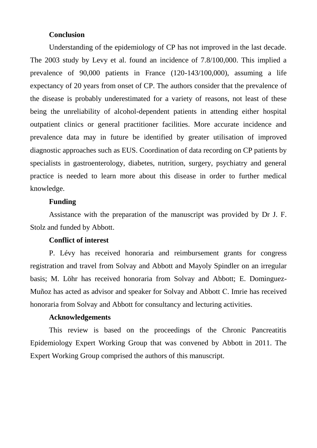### **Conclusion**

Understanding of the epidemiology of CP has not improved in the last decade. The 2003 study by Levy et al. found an incidence of 7.8/100,000. This implied a prevalence of 90,000 patients in France (120-143/100,000), assuming a life expectancy of 20 years from onset of CP. The authors consider that the prevalence of the disease is probably underestimated for a variety of reasons, not least of these being the unreliability of alcohol-dependent patients in attending either hospital outpatient clinics or general practitioner facilities. More accurate incidence and prevalence data may in future be identified by greater utilisation of improved diagnostic approaches such as EUS. Coordination of data recording on CP patients by specialists in gastroenterology, diabetes, nutrition, surgery, psychiatry and general practice is needed to learn more about this disease in order to further medical knowledge.

### **Funding**

Assistance with the preparation of the manuscript was provided by Dr J. F. Stolz and funded by Abbott.

## **Conflict of interest**

P. Lévy has received honoraria and reimbursement grants for congress registration and travel from Solvay and Abbott and Mayoly Spindler on an irregular basis; M. Löhr has received honoraria from Solvay and Abbott; E. Dominguez-Muñoz has acted as advisor and speaker for Solvay and Abbott С. Imrie has received honoraria from Solvay and Abbott for consultancy and lecturing activities.

# **Acknowledgements**

This review is based on the proceedings of the Chronic Pancreatitis Epidemiology Expert Working Group that was convened by Abbott in 2011. The Expert Working Group comprised the authors of this manuscript.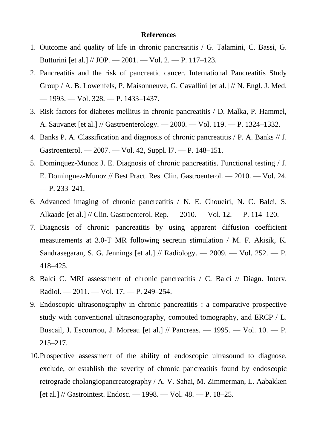#### **References**

- 1. Outcome and quality of life in chronic pancreatitis / G. Talamini, C. Bassi, G. Butturini [et al.] // JOP. — 2001. — Vol. 2. — P. 117–123.
- 2. Pancreatitis and the risk of pancreatic cancer. International Pancreatitis Study Group / A. B. Lowenfels, P. Maisonneuve, G. Cavallini [et al.] // N. Engl. J. Med. — 1993. — Vol. 328. — P. 1433–1437.
- 3. Risk factors for diabetes mellitus in chronic pancreatitis / D. Malka, P. Hammel, A. Sauvanet [et al.] // Gastroenterology. — 2000. — Vol. 119. — P. 1324–1332.
- 4. Banks P. A. Classification and diagnosis of chronic pancreatitis / P. A. Banks // J. Gastroenterol. — 2007. — Vol. 42, Suppl. l7. — P. 148–151.
- 5. Dominguez-Munoz J. E. Diagnosis of chronic pancreatitis. Functional testing / J. E. Dominguez-Munoz // Best Pract. Res. Clin. Gastroenterol. — 2010. — Vol. 24.  $-$  P. 233–241.
- 6. Advanced imaging of chronic pancreatitis / N. E. Choueiri, N. C. Balci, S. Alkaade [et al.] // Clin. Gastroenterol. Rep. — 2010. — Vol. 12. — P. 114–120.
- 7. Diagnosis of chronic pancreatitis by using apparent diffusion coefficient measurements at 3.0-T MR following secretin stimulation / M. F. Akisik, K. Sandrasegaran, S. G. Jennings [et al.]  $\#$  Radiology. — 2009. — Vol. 252. — P. 418–425.
- 8. Balci C. MRI assessment of chronic pancreatitis / C. Balci // Diagn. Interv. Radiol. — 2011. — Vol. 17. — P. 249–254.
- 9. Endoscopic ultrasonography in chronic pancreatitis : a comparative prospective study with conventional ultrasonography, computed tomography, and ERCP / L. Buscail, J. Escourrou, J. Moreau [et al.] // Pancreas. — 1995. — Vol. 10. — P. 215–217.
- 10.Prospective assessment of the ability of endoscopic ultrasound to diagnose, exclude, or establish the severity of chronic pancreatitis found by endoscopic retrograde cholangiopancreatography / A. V. Sahai, M. Zimmerman, L. Aabakken [et al.] // Gastrointest. Endosc. — 1998. — Vol. 48. — P. 18–25.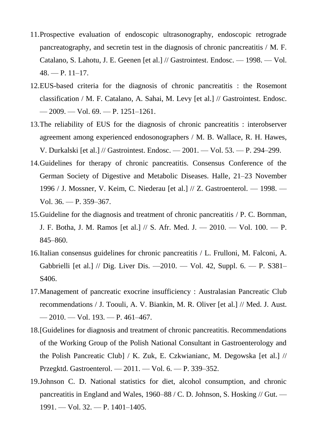- 11.Prospective evaluation of endoscopic ultrasonography, endoscopic retrograde pancreatography, and secretin test in the diagnosis of chronic pancreatitis / M. F. Catalano, S. Lahotu, J. E. Geenen [et al.] // Gastrointest. Endosc. — 1998. — Vol.  $48. - P. 11-17.$
- 12.EUS-based criteria for the diagnosis of chronic pancreatitis : the Rosemont classification / M. F. Catalano, A. Sahai, M. Levy [et al.] // Gastrointest. Endosc. — 2009. — Vol. 69. — P. 1251–1261.
- 13.The reliability of EUS for the diagnosis of chronic pancreatitis : interobserver agreement among experienced endosonographers / M. B. Wallace, R. H. Hawes, V. Durkalski [et al.] // Gastrointest. Endosc. — 2001. — Vol. 53. — P. 294–299.
- 14.Guidelines for therapy of chronic pancreatitis. Consensus Conference of the German Society of Digestive and Metabolic Diseases. Halle, 21–23 November 1996 / J. Mossner, V. Keim, C. Niederau [et al.] // Z. Gastroenterol. — 1998. — Vol. 36. — P. 359–367.
- 15.Guideline for the diagnosis and treatment of chronic pancreatitis / P. C. Bornman, J. F. Botha, J. M. Ramos [et al.] // S. Afr. Med. J. — 2010. — Vol. 100. — P. 845–860.
- 16.Italian consensus guidelines for chronic pancreatitis / L. Frulloni, M. Falconi, A. Gabbrielli [et al.] // Dig. Liver Dis. —2010. — Vol. 42, Suppl. 6. — P. S381– S406.
- 17.Management of pancreatic exocrine insufficiency : Australasian Pancreatic Club recommendations / J. Toouli, A. V. Biankin, M. R. Oliver [et al.] // Med. J. Aust. — 2010. — Vol. 193. — P. 461–467.
- 18.[Guidelines for diagnosis and treatment of chronic pancreatitis. Recommendations of the Working Group of the Polish National Consultant in Gastroenterology and the Polish Pancreatic Club] / K. Zuk, E. Czkwianianc, M. Degowska [et al.] // Przegktd. Gastroenterol. — 2011. — Vol. 6. — P. 339–352.
- 19.Johnson C. D. National statistics for diet, alcohol consumption, and chronic pancreatitis in England and Wales, 1960–88 / C. D. Johnson, S. Hosking // Gut. — 1991. — Vol. 32. — P. 1401–1405.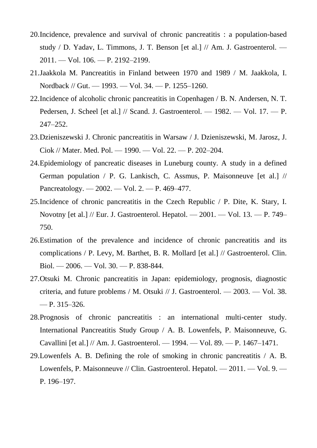- 20.Incidence, prevalence and survival of chronic pancreatitis : a population-based study / D. Yadav, L. Timmons, J. T. Benson [et al.] // Am. J. Gastroenterol. — 2011. — Vol. 106. — P. 2192–2199.
- 21.Jaakkola M. Pancreatitis in Finland between 1970 and 1989 / M. Jaakkola, I. Nordback // Gut. — 1993. — Vol. 34. — P. 1255–1260.
- 22.Incidence of alcoholic chronic pancreatitis in Copenhagen / B. N. Andersen, N. T. Pedersen, J. Scheel [et al.] // Scand. J. Gastroenterol. — 1982. — Vol. 17. — P. 247–252.
- 23.Dzieniszewski J. Chronic pancreatitis in Warsaw / J. Dzieniszewski, M. Jarosz, J. Ciok // Mater. Med. Pol. — 1990. — Vol. 22. — P. 202–204.
- 24.Epidemiology of pancreatic diseases in Luneburg county. A study in a defined German population / P. G. Lankisch, C. Assmus, P. Maisonneuve [et al.] // Pancreatology. — 2002. — Vol. 2. — P. 469–477.
- 25.Incidence of chronic pancreatitis in the Czech Republic / P. Dite, K. Stary, I. Novotny [et al.] // Eur. J. Gastroenterol. Hepatol. — 2001. — Vol. 13. — P. 749– 750.
- 26.Estimation of the prevalence and incidence of chronic pancreatitis and its complications / P. Levy, M. Barthet, B. R. Mollard [et al.] // Gastroenterol. Clin. Biol. — 2006. — Vol. 30. — P. 838-844.
- 27.Otsuki M. Chronic pancreatitis in Japan: epidemiology, prognosis, diagnostic criteria, and future problems / M. Otsuki // J. Gastroenterol. — 2003. — Vol. 38.  $-$  P. 315–326.
- 28.Prognosis of chronic pancreatitis : an international multi-center study. International Pancreatitis Study Group / A. B. Lowenfels, P. Maisonneuve, G. Cavallini [et al.] // Am. J. Gastroenterol. — 1994. — Vol. 89. — P. 1467–1471.
- 29.Lowenfels A. B. Defining the role of smoking in chronic pancreatitis / A. B. Lowenfels, P. Maisonneuve // Clin. Gastroenterol. Hepatol. — 2011. — Vol. 9. — P. 196–197.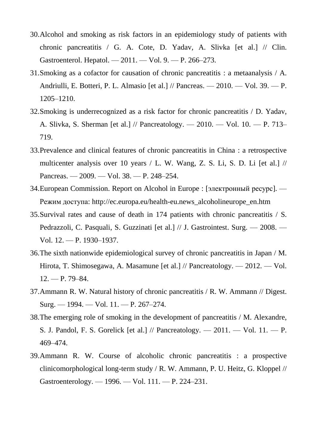- 30.Alcohol and smoking as risk factors in an epidemiology study of patients with chronic pancreatitis / G. A. Cote, D. Yadav, A. Slivka [et al.] // Clin. Gastroenterol. Hepatol. — 2011. — Vol. 9. — P. 266–273.
- 31.Smoking as a cofactor for causation of chronic pancreatitis : a metaanalysis / A. Andriulli, E. Botteri, P. L. Almasio [et al.] // Pancreas. — 2010. — Vol. 39. — P. 1205–1210.
- 32.Smoking is underrecognized as a risk factor for chronic pancreatitis / D. Yadav, A. Slivka, S. Sherman [et al.] // Pancreatology. — 2010. — Vol. 10. — P. 713– 719.
- 33.Prevalence and clinical features of chronic pancreatitis in China : a retrospective multicenter analysis over 10 years / L. W. Wang, Z. S. Li, S. D. Li [et al.] // Pancreas. — 2009. — Vol. 38. — P. 248–254.
- 34.European Commission. Report on Alcohol in Europe : [электронный ресурс]. Режим доступа: http://ec.europa.eu/health-eu.news\_alcoholineurope\_en.htm
- 35.Survival rates and cause of death in 174 patients with chronic pancreatitis / S. Pedrazzoli, C. Pasquali, S. Guzzinati [et al.] // J. Gastrointest. Surg. — 2008. — Vol. 12. — P. 1930–1937.
- 36.The sixth nationwide epidemiological survey of chronic pancreatitis in Japan / M. Hirota, T. Shimosegawa, A. Masamune [et al.] // Pancreatology. — 2012. — Vol.  $12. - P. 79 - 84.$
- 37.Ammann R. W. Natural history of chronic pancreatitis / R. W. Ammann // Digest. Surg. — 1994. — Vol. 11. — P. 267–274.
- 38.The emerging role of smoking in the development of pancreatitis / M. Alexandre, S. J. Pandol, F. S. Gorelick [et al.] // Pancreatology. — 2011. — Vol. 11. — P. 469–474.
- 39.Ammann R. W. Course of alcoholic chronic pancreatitis : a prospective clinicomorphological long-term study / R. W. Ammann, P. U. Heitz, G. Kloppel // Gastroenterology. — 1996. — Vol. 111. — P. 224–231.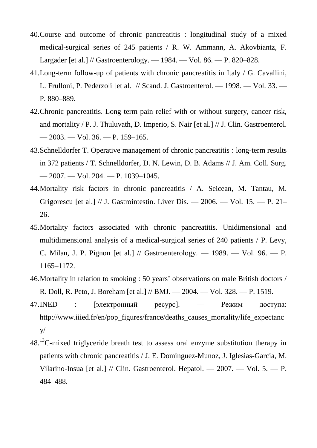- 40.Course and outcome of chronic pancreatitis : longitudinal study of a mixed medical-surgical series of 245 patients / R. W. Ammann, A. Akovbiantz, F. Largader [et al.] // Gastroenterology. — 1984. — Vol. 86. — P. 820–828.
- 41.Long-term follow-up of patients with chronic pancreatitis in Italy / G. Cavallini, L. Frulloni, P. Pederzoli [et al.] // Scand. J. Gastroenterol. — 1998. — Vol. 33. — P. 880–889.
- 42.Chronic pancreatitis. Long term pain relief with or without surgery, cancer risk, and mortality / P. J. Thuluvath, D. Imperio, S. Nair [et al.] // J. Clin. Gastroenterol.  $-2003. - Vol. 36. - P. 159-165.$
- 43.Schnelldorfer T. Operative management of chronic pancreatitis : long-term results in 372 patients / T. Schnelldorfer, D. N. Lewin, D. B. Adams // J. Am. Coll. Surg. — 2007. — Vol. 204. — P. 1039–1045.
- 44.Mortality risk factors in chronic pancreatitis / A. Seicean, M. Tantau, M. Grigorescu [et al.] // J. Gastrointestin. Liver Dis. — 2006. — Vol. 15. — P. 21– 26.
- 45.Mortality factors associated with chronic pancreatitis. Unidimensional and multidimensional analysis of a medical-surgical series of 240 patients / P. Levy, C. Milan, J. P. Pignon [et al.] // Gastroenterology. — 1989. — Vol. 96. — P. 1165–1172.
- 46.Mortality in relation to smoking : 50 years' observations on male British doctors / R. Doll, R. Peto, J. Boreham [et al.] // BMJ. — 2004. — Vol. 328. — P. 1519.
- 47.INED : [электронный ресурс]. Режим доступа: http://www.iiied.fr/en/pop\_figures/france/deaths\_causes\_mortality/life\_expectanc y/
- 48.<sup>13</sup>C-mixed triglyceride breath test to assess oral enzyme substitution therapy in patients with chronic pancreatitis / J. E. Dominguez-Munoz, J. Iglesias-Garcia, M. Vilarino-Insua [et al.] // Clin. Gastroenterol. Hepatol. — 2007. — Vol. 5. — P. 484–488.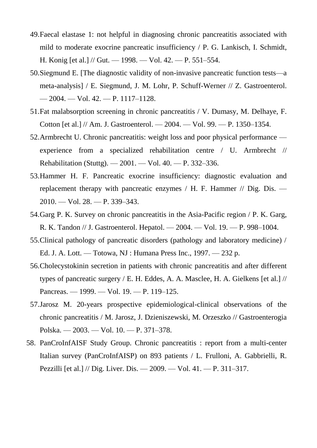- 49.Faecal elastase 1: not helpful in diagnosing chronic pancreatitis associated with mild to moderate exocrine pancreatic insufficiency / P. G. Lankisch, I. Schmidt, H. Konig [et al.] // Gut. — 1998. — Vol. 42. — P. 551–554.
- 50.Siegmund E. [The diagnostic validity of non-invasive pancreatic function tests—a meta-analysis] / E. Siegmund, J. M. Lohr, P. Schuff-Werner // Z. Gastroenterol. — 2004. — Vol. 42. — P. 1117–1128.
- 51.Fat malabsorption screening in chronic pancreatitis / V. Dumasy, M. Delhaye, F. Cotton [et al.] // Am. J. Gastroenterol. — 2004. — Vol. 99. — P. 1350–1354.
- 52.Armbrecht U. Chronic pancreatitis: weight loss and poor physical performance experience from a specialized rehabilitation centre / U. Armbrecht // Rehabilitation (Stuttg). — 2001. — Vol. 40. — P. 332–336.
- 53.Hammer H. F. Pancreatic exocrine insufficiency: diagnostic evaluation and replacement therapy with pancreatic enzymes / H. F. Hammer // Dig. Dis. — 2010. — Vol. 28. — P. 339–343.
- 54.Garg P. K. Survey on chronic pancreatitis in the Asia-Pacific region / P. K. Garg, R. K. Tandon // J. Gastroenterol. Hepatol. — 2004. — Vol. 19. — P. 998–1004.
- 55.Clinical pathology of pancreatic disorders (pathology and laboratory medicine) / Ed. J. A. Lott. — Totowa, NJ : Humana Press Inc., 1997. — 232 p.
- 56.Cholecystokinin secretion in patients with chronic pancreatitis and after different types of pancreatic surgery / E. H. Eddes, A. A. Masclee, H. A. Gielkens [et al.] // Pancreas. — 1999. — Vol. 19. — P. 119–125.
- 57.Jarosz M. 20-years prospective epidemiological-clinical observations of the chronic pancreatitis / M. Jarosz, J. Dzieniszewski, M. Orzeszko // Gastroenterogia Polska. — 2003. — Vol. 10. — P. 371–378.
- 58. PanCroInfAISF Study Group. Chronic pancreatitis : report from a multi-center Italian survey (PanCroInfAISP) on 893 patients / L. Frulloni, A. Gabbrielli, R. Pezzilli [et al.] // Dig. Liver. Dis. — 2009. — Vol. 41. — P. 311–317.